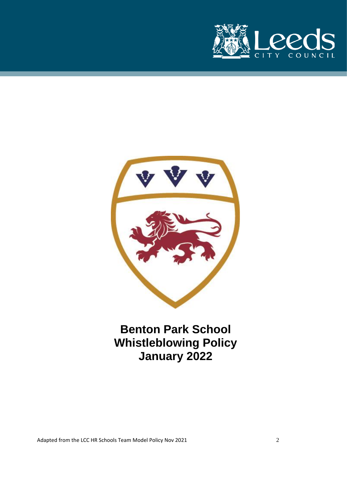



# **Benton Park School Whistleblowing Policy January 2022**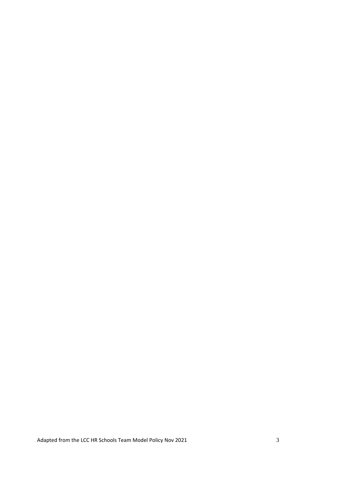Adapted from the LCC HR Schools Team Model Policy Nov 2021 3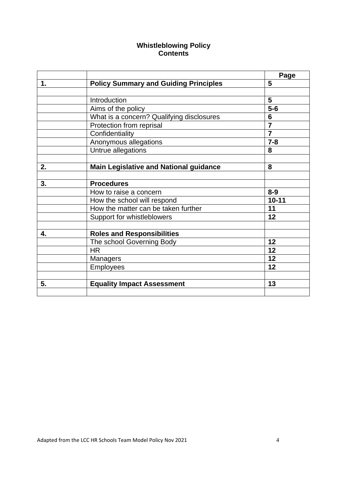#### **Whistleblowing Policy Contents**

|    |                                               | Page                    |
|----|-----------------------------------------------|-------------------------|
| 1. | <b>Policy Summary and Guiding Principles</b>  | 5                       |
|    |                                               |                         |
|    | Introduction                                  | 5                       |
|    | Aims of the policy                            | $5-6$                   |
|    | What is a concern? Qualifying disclosures     | 6                       |
|    | Protection from reprisal                      | $\overline{\mathbf{7}}$ |
|    | Confidentiality                               | $\overline{7}$          |
|    | Anonymous allegations                         | $7 - 8$                 |
|    | Untrue allegations                            | 8                       |
|    |                                               |                         |
| 2. | <b>Main Legislative and National guidance</b> | 8                       |
|    |                                               |                         |
| 3. | <b>Procedures</b>                             |                         |
|    | How to raise a concern                        | $8-9$                   |
|    | How the school will respond                   | $10 - 11$               |
|    | How the matter can be taken further           | 11                      |
|    | Support for whistleblowers                    | 12                      |
|    |                                               |                         |
| 4. | <b>Roles and Responsibilities</b>             |                         |
|    | The school Governing Body                     | 12                      |
|    | <b>HR</b>                                     | 12                      |
|    | <b>Managers</b>                               | 12                      |
|    | <b>Employees</b>                              | $\overline{12}$         |
|    |                                               |                         |
| 5. | <b>Equality Impact Assessment</b>             | 13                      |
|    |                                               |                         |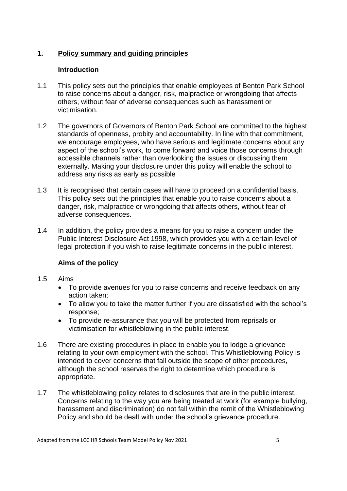# **1. Policy summary and guiding principles**

#### **Introduction**

- 1.1 This policy sets out the principles that enable employees of Benton Park School to raise concerns about a danger, risk, malpractice or wrongdoing that affects others, without fear of adverse consequences such as harassment or victimisation.
- 1.2 The governors of Governors of Benton Park School are committed to the highest standards of openness, probity and accountability. In line with that commitment, we encourage employees, who have serious and legitimate concerns about any aspect of the school's work, to come forward and voice those concerns through accessible channels rather than overlooking the issues or discussing them externally. Making your disclosure under this policy will enable the school to address any risks as early as possible
- 1.3 It is recognised that certain cases will have to proceed on a confidential basis. This policy sets out the principles that enable you to raise concerns about a danger, risk, malpractice or wrongdoing that affects others, without fear of adverse consequences.
- 1.4 In addition, the policy provides a means for you to raise a concern under the Public Interest Disclosure Act 1998, which provides you with a certain level of legal protection if you wish to raise legitimate concerns in the public interest.

## **Aims of the policy**

- 1.5 Aims
	- To provide avenues for you to raise concerns and receive feedback on any action taken;
	- To allow you to take the matter further if you are dissatisfied with the school's response;
	- To provide re-assurance that you will be protected from reprisals or victimisation for whistleblowing in the public interest.
- 1.6 There are existing procedures in place to enable you to lodge a grievance relating to your own employment with the school. This Whistleblowing Policy is intended to cover concerns that fall outside the scope of other procedures, although the school reserves the right to determine which procedure is appropriate.
- 1.7 The whistleblowing policy relates to disclosures that are in the public interest. Concerns relating to the way you are being treated at work (for example bullying, harassment and discrimination) do not fall within the remit of the Whistleblowing Policy and should be dealt with under the school's grievance procedure.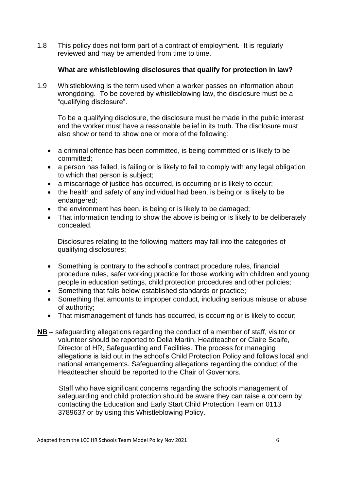1.8 This policy does not form part of a contract of employment. It is regularly reviewed and may be amended from time to time.

## **What are whistleblowing disclosures that qualify for protection in law?**

1.9 Whistleblowing is the term used when a worker passes on information about wrongdoing. To be covered by whistleblowing law, the disclosure must be a "qualifying disclosure".

To be a qualifying disclosure, the disclosure must be made in the public interest and the worker must have a reasonable belief in its truth. The disclosure must also show or tend to show one or more of the following:

- a criminal offence has been committed, is being committed or is likely to be committed;
- a person has failed, is failing or is likely to fail to comply with any legal obligation to which that person is subject;
- a miscarriage of justice has occurred, is occurring or is likely to occur;
- the health and safety of any individual had been, is being or is likely to be endangered;
- the environment has been, is being or is likely to be damaged;
- That information tending to show the above is being or is likely to be deliberately concealed.

Disclosures relating to the following matters may fall into the categories of qualifying disclosures:

- Something is contrary to the school's contract procedure rules, financial procedure rules, safer working practice for those working with children and young people in education settings, child protection procedures and other policies;
- Something that falls below established standards or practice;
- Something that amounts to improper conduct, including serious misuse or abuse of authority;
- That mismanagement of funds has occurred, is occurring or is likely to occur;
- **NB** safeguarding allegations regarding the conduct of a member of staff, visitor or volunteer should be reported to Delia Martin, Headteacher or Claire Scaife, Director of HR, Safeguarding and Facilities. The process for managing allegations is laid out in the school's Child Protection Policy and follows local and national arrangements. Safeguarding allegations regarding the conduct of the Headteacher should be reported to the Chair of Governors.

 Staff who have significant concerns regarding the schools management of safeguarding and child protection should be aware they can raise a concern by contacting the Education and Early Start Child Protection Team on 0113 3789637 or by using this Whistleblowing Policy.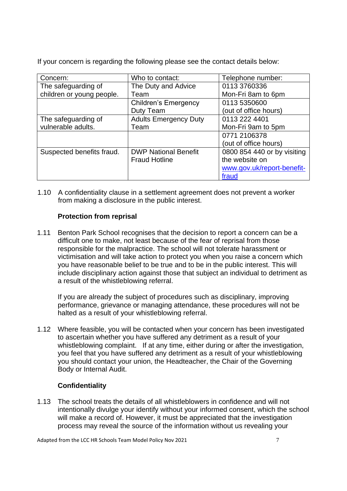If your concern is regarding the following please see the contact details below:

| Concern:                  | Who to contact:              | Telephone number:           |  |
|---------------------------|------------------------------|-----------------------------|--|
| The safeguarding of       | The Duty and Advice          | 0113 3760336                |  |
| children or young people. | Team                         | Mon-Fri 8am to 6pm          |  |
|                           | <b>Children's Emergency</b>  | 0113 5350600                |  |
|                           | Duty Team                    | (out of office hours)       |  |
| The safeguarding of       | <b>Adults Emergency Duty</b> | 0113 222 4401               |  |
| vulnerable adults.        | Team                         | Mon-Fri 9am to 5pm          |  |
|                           |                              | 0771 2106378                |  |
|                           |                              | (out of office hours)       |  |
| Suspected benefits fraud. | <b>DWP National Benefit</b>  | 0800 854 440 or by visiting |  |
|                           | <b>Fraud Hotline</b>         | the website on              |  |
|                           |                              | www.gov.uk/report-benefit-  |  |
|                           |                              | fraud                       |  |

1.10 A confidentiality clause in a settlement agreement does not prevent a worker from making a disclosure in the public interest.

# **Protection from reprisal**

1.11 Benton Park School recognises that the decision to report a concern can be a difficult one to make, not least because of the fear of reprisal from those responsible for the malpractice. The school will not tolerate harassment or victimisation and will take action to protect you when you raise a concern which you have reasonable belief to be true and to be in the public interest. This will include disciplinary action against those that subject an individual to detriment as a result of the whistleblowing referral.

If you are already the subject of procedures such as disciplinary, improving performance, grievance or managing attendance, these procedures will not be halted as a result of your whistleblowing referral.

1.12 Where feasible, you will be contacted when your concern has been investigated to ascertain whether you have suffered any detriment as a result of your whistleblowing complaint. If at any time, either during or after the investigation, you feel that you have suffered any detriment as a result of your whistleblowing you should contact your union, the Headteacher, the Chair of the Governing Body or Internal Audit.

## **Confidentiality**

1.13 The school treats the details of all whistleblowers in confidence and will not intentionally divulge your identify without your informed consent, which the school will make a record of. However, it must be appreciated that the investigation process may reveal the source of the information without us revealing your

Adapted from the LCC HR Schools Team Model Policy Nov 2021 **7** and the control of the control of the control of the control of the control of the control of the control of the control of the control of the control of the c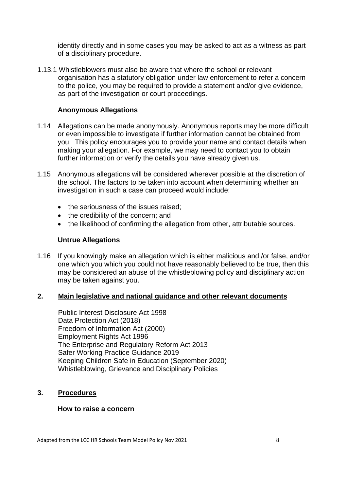identity directly and in some cases you may be asked to act as a witness as part of a disciplinary procedure.

1.13.1 Whistleblowers must also be aware that where the school or relevant organisation has a statutory obligation under law enforcement to refer a concern to the police, you may be required to provide a statement and/or give evidence, as part of the investigation or court proceedings.

## **Anonymous Allegations**

- 1.14 Allegations can be made anonymously. Anonymous reports may be more difficult or even impossible to investigate if further information cannot be obtained from you. This policy encourages you to provide your name and contact details when making your allegation. For example, we may need to contact you to obtain further information or verify the details you have already given us.
- 1.15 Anonymous allegations will be considered wherever possible at the discretion of the school. The factors to be taken into account when determining whether an investigation in such a case can proceed would include:
	- the seriousness of the issues raised;
	- the credibility of the concern; and
	- the likelihood of confirming the allegation from other, attributable sources.

## **Untrue Allegations**

1.16 If you knowingly make an allegation which is either malicious and /or false, and/or one which you which you could not have reasonably believed to be true, then this may be considered an abuse of the whistleblowing policy and disciplinary action may be taken against you.

#### **2. Main legislative and national guidance and other relevant documents**

Public Interest Disclosure Act 1998 Data Protection Act (2018) Freedom of Information Act (2000) Employment Rights Act 1996 The Enterprise and Regulatory Reform Act 2013 Safer Working Practice Guidance 2019 Keeping Children Safe in Education (September 2020) Whistleblowing, Grievance and Disciplinary Policies

## **3. Procedures**

#### **How to raise a concern**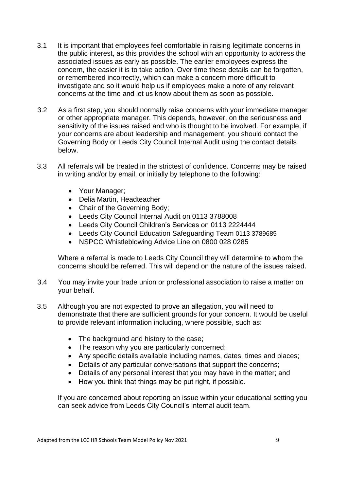- 3.1 It is important that employees feel comfortable in raising legitimate concerns in the public interest, as this provides the school with an opportunity to address the associated issues as early as possible. The earlier employees express the concern, the easier it is to take action. Over time these details can be forgotten, or remembered incorrectly, which can make a concern more difficult to investigate and so it would help us if employees make a note of any relevant concerns at the time and let us know about them as soon as possible.
- 3.2 As a first step, you should normally raise concerns with your immediate manager or other appropriate manager. This depends, however, on the seriousness and sensitivity of the issues raised and who is thought to be involved. For example, if your concerns are about leadership and management, you should contact the Governing Body or Leeds City Council Internal Audit using the contact details below.
- 3.3 All referrals will be treated in the strictest of confidence. Concerns may be raised in writing and/or by email, or initially by telephone to the following:
	- Your Manager;
	- Delia Martin, Headteacher
	- Chair of the Governing Body:
	- Leeds City Council Internal Audit on 0113 3788008
	- Leeds City Council Children's Services on 0113 2224444
	- Leeds City Council Education Safeguarding Team 0113 3789685
	- NSPCC Whistleblowing Advice Line on 0800 028 0285

Where a referral is made to Leeds City Council they will determine to whom the concerns should be referred. This will depend on the nature of the issues raised.

- 3.4 You may invite your trade union or professional association to raise a matter on your behalf.
- 3.5 Although you are not expected to prove an allegation, you will need to demonstrate that there are sufficient grounds for your concern. It would be useful to provide relevant information including, where possible, such as:
	- The background and history to the case;
	- The reason why you are particularly concerned;
	- Any specific details available including names, dates, times and places;
	- Details of any particular conversations that support the concerns;
	- Details of any personal interest that you may have in the matter; and
	- How you think that things may be put right, if possible.

If you are concerned about reporting an issue within your educational setting you can seek advice from Leeds City Council's internal audit team.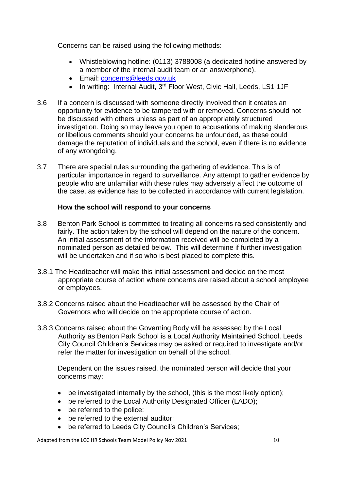Concerns can be raised using the following methods:

- Whistleblowing hotline: (0113) 3788008 (a dedicated hotline answered by a member of the internal audit team or an answerphone).
- Email: [concerns@leeds.gov.uk](mailto:concerns@leeds.gov.uk)
- In writing: Internal Audit, 3<sup>rd</sup> Floor West, Civic Hall, Leeds, LS1 1JF
- 3.6 If a concern is discussed with someone directly involved then it creates an opportunity for evidence to be tampered with or removed. Concerns should not be discussed with others unless as part of an appropriately structured investigation. Doing so may leave you open to accusations of making slanderous or libellous comments should your concerns be unfounded, as these could damage the reputation of individuals and the school, even if there is no evidence of any wrongdoing.
- 3.7 There are special rules surrounding the gathering of evidence. This is of particular importance in regard to surveillance. Any attempt to gather evidence by people who are unfamiliar with these rules may adversely affect the outcome of the case, as evidence has to be collected in accordance with current legislation.

## **How the school will respond to your concerns**

- 3.8 Benton Park School is committed to treating all concerns raised consistently and fairly. The action taken by the school will depend on the nature of the concern. An initial assessment of the information received will be completed by a nominated person as detailed below. This will determine if further investigation will be undertaken and if so who is best placed to complete this.
- 3.8.1 The Headteacher will make this initial assessment and decide on the most appropriate course of action where concerns are raised about a school employee or employees.
- 3.8.2 Concerns raised about the Headteacher will be assessed by the Chair of Governors who will decide on the appropriate course of action.
- 3.8.3 Concerns raised about the Governing Body will be assessed by the Local Authority as Benton Park School is a Local Authority Maintained School. Leeds City Council Children's Services may be asked or required to investigate and/or refer the matter for investigation on behalf of the school.

Dependent on the issues raised, the nominated person will decide that your concerns may:

- be investigated internally by the school, (this is the most likely option);
- be referred to the Local Authority Designated Officer (LADO);
- be referred to the police;
- be referred to the external auditor;
- be referred to Leeds City Council's Children's Services;

Adapted from the LCC HR Schools Team Model Policy Nov 2021 10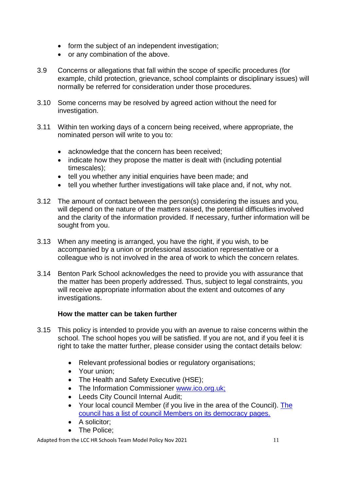- form the subject of an independent investigation;
- or any combination of the above.
- 3.9 Concerns or allegations that fall within the scope of specific procedures (for example, child protection, grievance, school complaints or disciplinary issues) will normally be referred for consideration under those procedures.
- 3.10 Some concerns may be resolved by agreed action without the need for investigation.
- 3.11 Within ten working days of a concern being received, where appropriate, the nominated person will write to you to:
	- acknowledge that the concern has been received;
	- indicate how they propose the matter is dealt with (including potential timescales);
	- tell you whether any initial enquiries have been made; and
	- tell you whether further investigations will take place and, if not, why not.
- 3.12 The amount of contact between the person(s) considering the issues and you, will depend on the nature of the matters raised, the potential difficulties involved and the clarity of the information provided. If necessary, further information will be sought from you.
- 3.13 When any meeting is arranged, you have the right, if you wish, to be accompanied by a union or professional association representative or a colleague who is not involved in the area of work to which the concern relates.
- 3.14 Benton Park School acknowledges the need to provide you with assurance that the matter has been properly addressed. Thus, subject to legal constraints, you will receive appropriate information about the extent and outcomes of any investigations**.**

#### **How the matter can be taken further**

- 3.15 This policy is intended to provide you with an avenue to raise concerns within the school. The school hopes you will be satisfied. If you are not, and if you feel it is right to take the matter further, please consider using the contact details below:
	- Relevant professional bodies or regulatory organisations;
	- Your union;
	- The Health and Safety Executive (HSE);
	- The Information Commissioner www.ico.org.uk:
	- Leeds City Council Internal Audit;
	- Your local council Member (if you live in the area of the Council). The [council has a list of council Members](https://democracy.leeds.gov.uk/mgMemberIndex.aspx?bcr=1) on its democracy pages.
	- A solicitor:
	- The Police:

Adapted from the LCC HR Schools Team Model Policy Nov 2021 11 11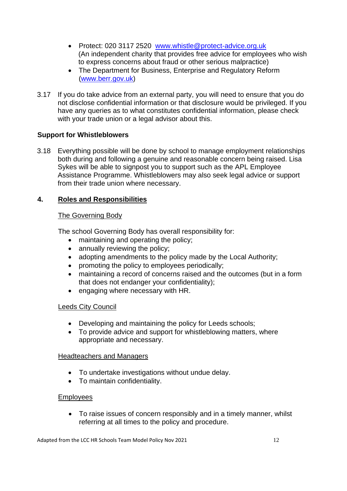- Protect: 020 3117 2520 [www.whistle@protect-advice.org.uk](http://www.whistle@protect-advice.org.uk) (An independent charity that provides free advice for employees who wish to express concerns about fraud or other serious malpractice)
- The Department for Business, Enterprise and Regulatory Reform [\(www.berr.gov.uk\)](http://www.berr.gov.uk/)
- 3.17 If you do take advice from an external party, you will need to ensure that you do not disclose confidential information or that disclosure would be privileged. If you have any queries as to what constitutes confidential information, please check with your trade union or a legal advisor about this.

# **Support for Whistleblowers**

3.18 Everything possible will be done by school to manage employment relationships both during and following a genuine and reasonable concern being raised. Lisa Sykes will be able to signpost you to support such as the APL Employee Assistance Programme. Whistleblowers may also seek legal advice or support from their trade union where necessary.

# **4. Roles and Responsibilities**

## The Governing Body

The school Governing Body has overall responsibility for:

- maintaining and operating the policy;
- annually reviewing the policy;
- adopting amendments to the policy made by the Local Authority;
- promoting the policy to employees periodically;
- maintaining a record of concerns raised and the outcomes (but in a form that does not endanger your confidentiality);
- engaging where necessary with HR.

## Leeds City Council

- Developing and maintaining the policy for Leeds schools;
- To provide advice and support for whistleblowing matters, where appropriate and necessary.

## Headteachers and Managers

- To undertake investigations without undue delay.
- To maintain confidentiality.

## Employees

• To raise issues of concern responsibly and in a timely manner, whilst referring at all times to the policy and procedure.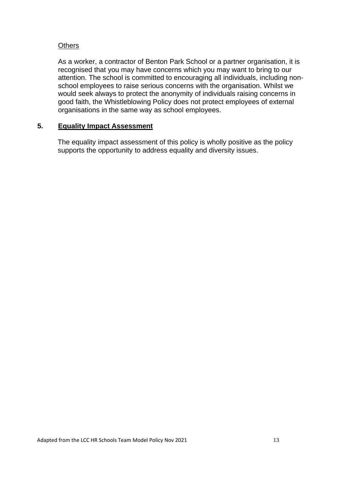#### **Others**

As a worker, a contractor of Benton Park School or a partner organisation, it is recognised that you may have concerns which you may want to bring to our attention. The school is committed to encouraging all individuals, including nonschool employees to raise serious concerns with the organisation. Whilst we would seek always to protect the anonymity of individuals raising concerns in good faith, the Whistleblowing Policy does not protect employees of external organisations in the same way as school employees.

## **5. Equality Impact Assessment**

The equality impact assessment of this policy is wholly positive as the policy supports the opportunity to address equality and diversity issues.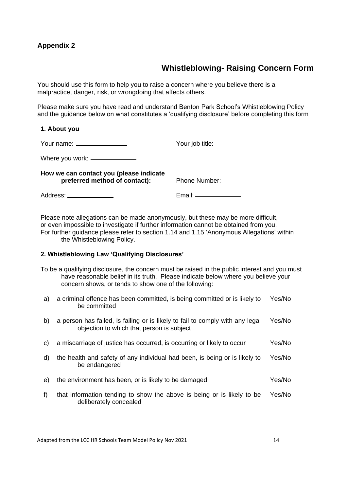# **Whistleblowing- Raising Concern Form**

You should use this form to help you to raise a concern where you believe there is a malpractice, danger, risk, or wrongdoing that affects others.

Please make sure you have read and understand Benton Park School's Whistleblowing Policy and the guidance below on what constitutes a 'qualifying disclosure' before completing this form

#### **1. About you**

| Your name: ________________                                              | Your job title: $\frac{1}{1}$ |
|--------------------------------------------------------------------------|-------------------------------|
| Where you work: ______________                                           |                               |
| How we can contact you (please indicate<br>preferred method of contact): | Phone Number: ______________  |
| Address: ______________                                                  | Email: <u>______________</u>  |
|                                                                          |                               |

Please note allegations can be made anonymously, but these may be more difficult, or even impossible to investigate if further information cannot be obtained from you. For further guidance please refer to section 1.14 and 1.15 'Anonymous Allegations' within the Whistleblowing Policy.

#### **2. Whistleblowing Law 'Qualifying Disclosures'**

- To be a qualifying disclosure, the concern must be raised in the public interest and you must have reasonable belief in its truth. Please indicate below where you believe your concern shows, or tends to show one of the following:
- a) a criminal offence has been committed, is being committed or is likely to be committed Yes/No
- b) a person has failed, is failing or is likely to fail to comply with any legal objection to which that person is subject Yes/No
- c) a miscarriage of justice has occurred, is occurring or likely to occur Yes/No
- d) the health and safety of any individual had been, is being or is likely to be endangered Yes/No
- e) the environment has been, or is likely to be damaged Yes/No
- f) that information tending to show the above is being or is likely to be deliberately concealed Yes/No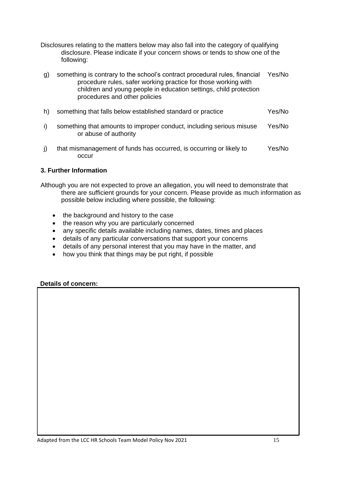- Disclosures relating to the matters below may also fall into the category of qualifying disclosure. Please indicate if your concern shows or tends to show one of the following:
- g) something is contrary to the school's contract procedural rules, financial Yes/No procedure rules, safer working practice for those working with children and young people in education settings, child protection procedures and other policies

| h) something that falls below established standard or practice | Yes/No |
|----------------------------------------------------------------|--------|
|                                                                |        |

- i) something that amounts to improper conduct, including serious misuse or abuse of authority Yes/No
- j) that mismanagement of funds has occurred, is occurring or likely to occur Yes/No

## **3. Further Information**

Although you are not expected to prove an allegation, you will need to demonstrate that there are sufficient grounds for your concern. Please provide as much information as possible below including where possible, the following:

- the background and history to the case
- the reason why you are particularly concerned
- any specific details available including names, dates, times and places
- details of any particular conversations that support your concerns
- details of any personal interest that you may have in the matter, and
- how you think that things may be put right, if possible

#### **Details of concern:**